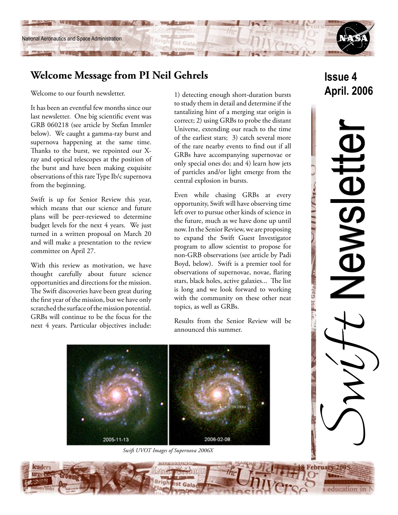

# **Welcome Message from PI Neil Gehrels**

Welcome to our fourth newsletter.

It has been an eventful few months since our last newsletter. One big scientific event was GRB 060218 (see article by Stefan Immler below). We caught a gamma-ray burst and supernova happening at the same time. Thanks to the burst, we repointed our Xray and optical telescopes at the position of the burst and have been making exquisite observations of this rare Type Ib/c supernova from the beginning.

Swift is up for Senior Review this year, which means that our science and future plans will be peer-reviewed to determine budget levels for the next 4 years. We just turned in a written proposal on March 20 and will make a presentation to the review committee on April 27.

With this review as motivation, we have thought carefully about future science opportunities and directions for the mission. The Swift discoveries have been great during the first year of the mission, but we have only scratched the surface of the mission potential. GRBs will continue to be the focus for the next 4 years. Particular objectives include:

1) detecting enough short-duration bursts to study them in detail and determine if the tantalizing hint of a merging star origin is correct; 2) using GRBs to probe the distant Universe, extending our reach to the time of the earliest stars; 3) catch several more of the rare nearby events to find out if all GRBs have accompanying supernovae or only special ones do; and 4) learn how jets of particles and/or light emerge from the central explosion in bursts.

Even while chasing GRBs at every opportunity, Swift will have observing time left over to pursue other kinds of science in the future, much as we have done up until now. In the Senior Review, we are proposing to expand the Swift Guest Investigator program to allow scientist to propose for non-GRB observations (see article by Padi Boyd, below). Swift is a premier tool for observations of supernovae, novae, flaring stars, black holes, active galaxies... The list is long and we look forward to working with the community on these other neat topics, as well as GRBs.

Results from the Senior Review will be announced this summer.

**Issue 4 April. 2006**

Switt Newsletter Newslet

 $UIIII$ 

Tambeles as a



*Swift UVOT Images of Supernova 2006X*

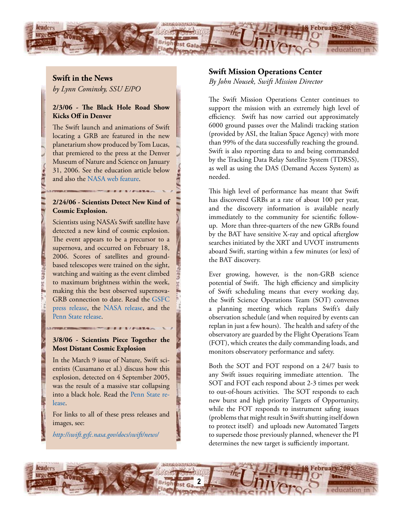

# **Swift in the News**

*by Lynn Cominsky, SSU E/PO*

#### **2/3/06 - The Black Hole Road Show Kicks Off in Denver**

The Swift launch and animations of Swift locating a GRB are featured in the new planetarium show produced by Tom Lucas, that premiered to the press at the Denver Museum of Nature and Science on January 31, 2006. See the education article below and also the [NASA web feature.](http://www.nasa.gov/vision/universe/starsgalaxies/bh_roadshow.html)

## **2/24/06 - Scientists Detect New Kind of Cosmic Explosion.**

Scientists using NASA's Swift satellite have detected a new kind of cosmic explosion. The event appears to be a precursor to a supernova, and occurred on February 18, 2006. Scores of satellites and groundbased telescopes were trained on the sight, watching and waiting as the event climbed to maximum brightness within the week, making this the best observed supernova-GRB connection to date. Read the [GSFC](http://swift.gsfc.nasa.gov/docs/swift/news/2006/06-18.html)  [press release,](http://swift.gsfc.nasa.gov/docs/swift/news/2006/06-18.html) the [NASA release](http://www.nasa.gov/mission_pages/swift/bursts/oddball_burst.html), and the [Penn State release.](http://www.science.psu.edu/alert/Nousek2-2006.htm)

#### **3/8/06 - Scientists Piece Together the Most Distant Cosmic Explosion**

In the March 9 issue of Nature, Swift scientists (Cusamano et al.) discuss how this explosion, detected on 4 September 2005, was the result of a massive star collapsing into a black hole. Read the [Penn State re](http://www.science.psu.edu/alert/Burrows3-2006.htm)[lease.](http://www.science.psu.edu/alert/Burrows3-2006.htm)

For links to all of these press releases and images, see:

*[http://swift.gsfc.nasa.gov/docs/swift/news/](http://swift.gsfc.nasa.gov/docs/swift/about_swift/participants/)* 

# **Swift Mission Operations Center**

*By John Nousek, Swift Mission Director*

The Swift Mission Operations Center continues to support the mission with an extremely high level of efficiency. Swift has now carried out approximately 6000 ground passes over the Malindi tracking station (provided by ASI, the Italian Space Agency) with more than 99% of the data successfully reaching the ground. Swift is also reporting data to and being commanded by the Tracking Data Relay Satellite System (TDRSS), as well as using the DAS (Demand Access System) as needed.

This high level of performance has meant that Swift has discovered GRBs at a rate of about 100 per year, and the discovery information is available nearly immediately to the community for scientific followup. More than three-quarters of the new GRBs found by the BAT have sensitive X-ray and optical afterglow searches initiated by the XRT and UVOT instruments aboard Swift, starting within a few minutes (or less) of the BAT discovery.

Ever growing, however, is the non-GRB science potential of Swift. The high efficiency and simplicity of Swift scheduling means that every working day, the Swift Science Operations Team (SOT) convenes a planning meeting which replans Swift's daily observation schedule (and when required by events can replan in just a few hours). The health and safety of the observatory are guarded by the Flight Operations Team (FOT), which creates the daily commanding loads, and monitors observatory performance and safety.

Both the SOT and FOT respond on a 24/7 basis to any Swift issues requiring immediate attention. The SOT and FOT each respond about 2-3 times per week to out-of-hours activities. The SOT responds to each new burst and high priority Targets of Opportunity, while the FOT responds to instrument safing issues (problems that might result in Swift shutting itself down to protect itself) and uploads new Automated Targets to supersede those previously planned, whenever the PI determines the new target is sufficiently important.

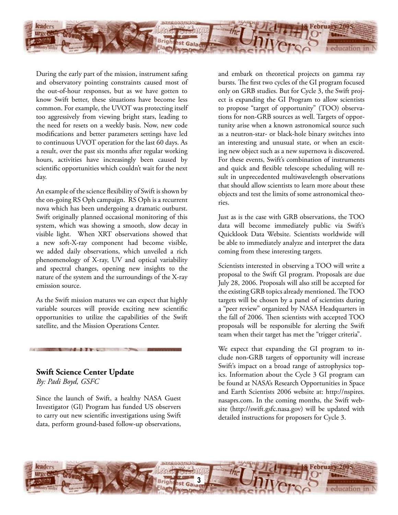

During the early part of the mission, instrument safing and observatory pointing constraints caused most of the out-of-hour responses, but as we have gotten to know Swift better, these situations have become less common. For example, the UVOT was protecting itself too aggressively from viewing bright stars, leading to the need for resets on a weekly basis. Now, new code modifications and better parameters settings have led to continuous UVOT operation for the last 60 days. As a result, over the past six months after regular working hours, activities have increasingly been caused by scientific opportunities which couldn't wait for the next day.

An example of the science flexibility of Swift is shown by the on-going RS Oph campaign. RS Oph is a recurrent nova which has been undergoing a dramatic outburst. Swift originally planned occasional monitoring of this system, which was showing a smooth, slow decay in visible light. When XRT observations showed that a new soft-X-ray component had become visible, we added daily observations, which unveiled a rich phenomenology of X-ray, UV and optical variability and spectral changes, opening new insights to the nature of the system and the surroundings of the X-ray emission source.

As the Swift mission matures we can expect that highly variable sources will provide exciting new scientific opportunities to utilize the capabilities of the Swift satellite, and the Mission Operations Center.

## **Swift Science Center Update**

*By: Padi Boyd, GSFC*

Since the launch of Swift, a healthy NASA Guest Investigator (GI) Program has funded US observers to carry out new scientific investigations using Swift data, perform ground-based follow-up observations, and embark on theoretical projects on gamma ray bursts. The first two cycles of the GI program focused only on GRB studies. But for Cycle 3, the Swift project is expanding the GI Program to allow scientists to propose "target of opportunity" (TOO) observations for non-GRB sources as well. Targets of opportunity arise when a known astronomical source such as a neutron-star- or black-hole binary switches into an interesting and unusual state, or when an exciting new object such as a new supernova is discovered. For these events, Swift's combination of instruments and quick and flexible telescope scheduling will result in unprecedented multiwavelength observations that should allow scientists to learn more about these objects and test the limits of some astronomical theories.

Just as is the case with GRB observations, the TOO data will become immediately public via Swift's Quicklook Data Website. Scientists worldwide will be able to immediately analyze and interpret the data coming from these interesting targets.

Scientists interested in observing a TOO will write a proposal to the Swift GI program. Proposals are due July 28, 2006. Proposals will also still be accepted for the existing GRB topics already mentioned. The TOO targets will be chosen by a panel of scientists during a "peer review" organized by NASA Headquarters in the fall of 2006. Then scientists with accepted TOO proposals will be responsible for alerting the Swift team when their target has met the "trigger criteria".

We expect that expanding the GI program to include non-GRB targets of opportunity will increase Swift's impact on a broad range of astrophysics topics. Information about the Cycle 3 GI program can be found at NASA's Research Opportunities in Space and Earth Scientists 2006 website at: http://nspires. nasaprs.com. In the coming months, the Swift website (http://swift.gsfc.nasa.gov) will be updated with detailed instructions for proposers for Cycle 3.

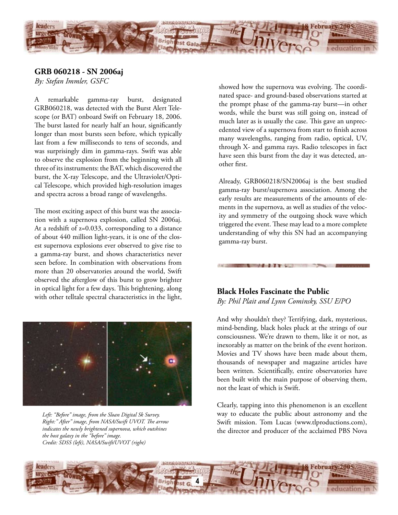

# **GRB 060218 - SN 2006aj**

*By: Stefan Immler, GSFC*

A remarkable gamma-ray burst, designated GRB060218, was detected with the Burst Alert Telescope (or BAT) onboard Swift on February 18, 2006. The burst lasted for nearly half an hour, significantly longer than most bursts seen before, which typically last from a few milliseconds to tens of seconds, and was surprisingly dim in gamma-rays. Swift was able to observe the explosion from the beginning with all three of its instruments: the BAT, which discovered the burst, the X-ray Telescope, and the Ultraviolet/Optical Telescope, which provided high-resolution images and spectra across a broad range of wavelengths.

The most exciting aspect of this burst was the association with a supernova explosion, called SN 2006aj. At a redshift of z=0.033, corresponding to a distance of about 440 million light-years, it is one of the closest supernova explosions ever observed to give rise to a gamma-ray burst, and shows characteristics never seen before. In combination with observations from more than 20 observatories around the world, Swift observed the afterglow of this burst to grow brighter in optical light for a few days. This brightening, along with other telltale spectral characteristics in the light, **Black Holes Fascinate the Public**



*Left: "Before" image, from the Sloan Digital Sk Survey. Right:" After" image, from NASA/Swift UVOT. The arrow indicates the newly brightened supernova, which outshines the host galaxy in the "before" image. Credit: SDSS (left), NASA/Swift/UVOT (right)* 

showed how the supernova was evolving. The coordinated space- and ground-based observations started at the prompt phase of the gamma-ray burst—in other words, while the burst was still going on, instead of much later as is usually the case. This gave an unprecedented view of a supernova from start to finish across many wavelengths, ranging from radio, optical, UV, through X- and gamma rays. Radio telescopes in fact have seen this burst from the day it was detected, another first.

Already, GRB060218/SN2006aj is the best studied gamma-ray burst/supernova association. Among the early results are measurements of the amounts of elements in the supernova, as well as studies of the velocity and symmetry of the outgoing shock wave which triggered the event. These may lead to a more complete understanding of why this SN had an accompanying gamma-ray burst.

# *By: Phil Plait and Lynn Cominsky, SSU E/PO*

And why shouldn't they? Terrifying, dark, mysterious, mind-bending, black holes pluck at the strings of our consciousness. We're drawn to them, like it or not, as inexorably as matter on the brink of the event horizon. Movies and TV shows have been made about them, thousands of newspaper and magazine articles have been written. Scientifically, entire observatories have been built with the main purpose of observing them, not the least of which is Swift.

Clearly, tapping into this phenomenon is an excellent way to educate the public about astronomy and the Swift mission. Tom Lucas (www.tlproductions.com), the director and producer of the acclaimed PBS Nova